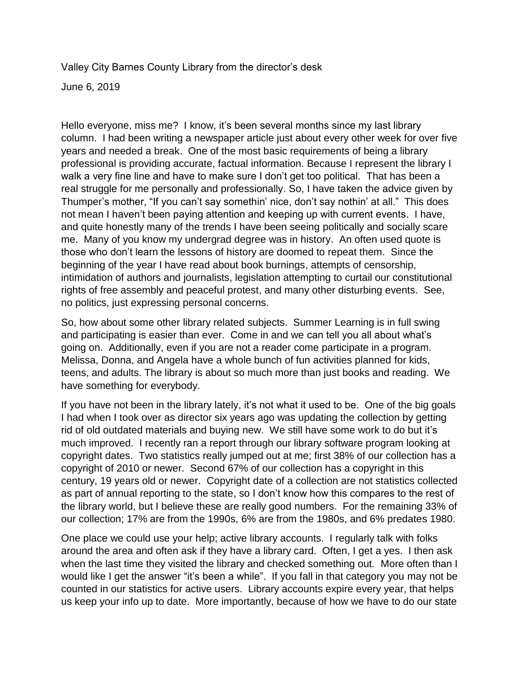Valley City Barnes County Library from the director's desk

June 6, 2019

Hello everyone, miss me? I know, it's been several months since my last library column. I had been writing a newspaper article just about every other week for over five years and needed a break. One of the most basic requirements of being a library professional is providing accurate, factual information. Because I represent the library I walk a very fine line and have to make sure I don't get too political. That has been a real struggle for me personally and professionally. So, I have taken the advice given by Thumper's mother, "If you can't say somethin' nice, don't say nothin' at all." This does not mean I haven't been paying attention and keeping up with current events. I have, and quite honestly many of the trends I have been seeing politically and socially scare me. Many of you know my undergrad degree was in history. An often used quote is those who don't learn the lessons of history are doomed to repeat them. Since the beginning of the year I have read about book burnings, attempts of censorship, intimidation of authors and journalists, legislation attempting to curtail our constitutional rights of free assembly and peaceful protest, and many other disturbing events. See, no politics, just expressing personal concerns.

So, how about some other library related subjects. Summer Learning is in full swing and participating is easier than ever. Come in and we can tell you all about what's going on. Additionally, even if you are not a reader come participate in a program. Melissa, Donna, and Angela have a whole bunch of fun activities planned for kids, teens, and adults. The library is about so much more than just books and reading. We have something for everybody.

If you have not been in the library lately, it's not what it used to be. One of the big goals I had when I took over as director six years ago was updating the collection by getting rid of old outdated materials and buying new. We still have some work to do but it's much improved. I recently ran a report through our library software program looking at copyright dates. Two statistics really jumped out at me; first 38% of our collection has a copyright of 2010 or newer. Second 67% of our collection has a copyright in this century, 19 years old or newer. Copyright date of a collection are not statistics collected as part of annual reporting to the state, so I don't know how this compares to the rest of the library world, but I believe these are really good numbers. For the remaining 33% of our collection; 17% are from the 1990s, 6% are from the 1980s, and 6% predates 1980.

One place we could use your help; active library accounts. I regularly talk with folks around the area and often ask if they have a library card. Often, I get a yes. I then ask when the last time they visited the library and checked something out. More often than I would like I get the answer "it's been a while". If you fall in that category you may not be counted in our statistics for active users. Library accounts expire every year, that helps us keep your info up to date. More importantly, because of how we have to do our state